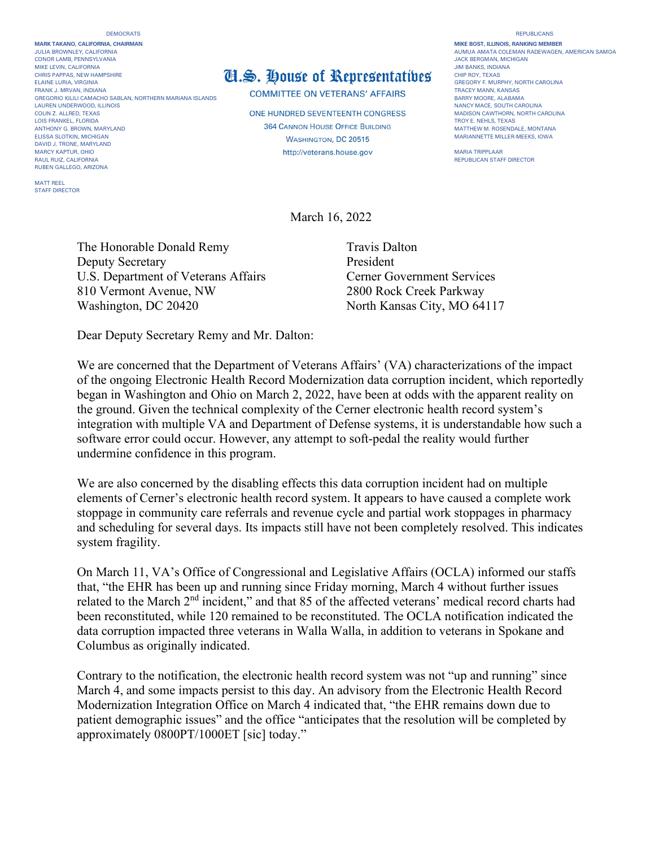**MARK TAKANO, CALIFORNIA, CHAIRMAN MIKE BOST, ILLINOIS, RANKING MEMBER** CONOR LAMB, PENNSYLVANIA<br>MIKE LEVIN. CALIFORNIA JACK BERGMAN, MICHIGAN AND SENSION OF THE SENSION OF THE SENSION OF THE SENSION OF THE S<br>JIM BANKS. INDIANA ELAINE LURIA, VIRGINIA DENENIS DENENIS DENENIS DENENIS DEL **ANTIFICA DEL ANTIFICA DEL COMPANY DE LA COMPANY DE LA COMPANY DE LA COMPANY DE LA COMPANY DE LA COMPANY DE LA COMPANY DE LA COMPANY DE LA COMPANY DE LA COMPANY DE** GREGORIO KILILI CAMACHO SABLAN, NORTHERN MARIANA ISLANDS<br>LAUREN UNDERWOOD, ILLINOIS LAUREN UNDERWOOD, ILLINOIS<br>COLIN Z. ALLRED, TEXAS COLINOIS NANCY MACE, SOUTH CAROLINA<br>COLIN Z. ALLRED, TEXAS COLINA AROLINA LOIS FRANKEL, FLORIDA ANTHONY GREOWN MARYLAND MARYLAND MATTHEW MATTHEW MATTHEW MATTHEW MATTHEW M. ROSENDALE, MONTANA ELISSA SLOTKIN, MICHIGAN **ELISSA SLOTKIN, MICHIGAN MARIANNETTE MILLER-MEEKS**, IOWA DAVID J. TRONE, MARYLAND AUL RUIZ, CALIFORNIA CONTROL DE CONTROLLER EN CONTROLLER EN CONTROLLER EN CONTROLLER EN CONTROLLER EN CONTROLLER EN CONTROLLER EN CONTROLLER EN CONTROLLER EN CONTROLLER EN CONTROLLER EN CONTROLLER EN CONTROLLER EN CONTROLL RUBEN GALLEGO, ARIZONA

MATT REEL STAFF DIRECTOR

## MIKE LEVIN, CALIFORNIA<br>CHRIS PAPPAS, NEW HAMPSHIRE **THE CHIP ROY, TEXAS** THE ROY, TEXAS

COMMITTEE ON VETERANS' AFFAIRS<br>BARRY MOORE, ALABAMA

**ONE HUNDRED SEVENTEENTH CONGRESS**<br>TROY E. NEHLS. TEXAS http://veterans.house.gov MARIA TRIPPLAAR

## JULIA BROWNLEY AUGHAN BROWNLEY AUGHAN RADEWAGEN, AMERICAN SAMOA<br>JACK BERGMAN, MICHIGAN

March 16, 2022

The Honorable Donald Remy Travis Dalton Deputy Secretary President U.S. Department of Veterans Affairs Cerner Government Services 810 Vermont Avenue, NW 2800 Rock Creek Parkway Washington, DC 20420 North Kansas City, MO 64117

Dear Deputy Secretary Remy and Mr. Dalton:

We are concerned that the Department of Veterans Affairs' (VA) characterizations of the impact of the ongoing Electronic Health Record Modernization data corruption incident, which reportedly began in Washington and Ohio on March 2, 2022, have been at odds with the apparent reality on the ground. Given the technical complexity of the Cerner electronic health record system's integration with multiple VA and Department of Defense systems, it is understandable how such a software error could occur. However, any attempt to soft-pedal the reality would further undermine confidence in this program.

We are also concerned by the disabling effects this data corruption incident had on multiple elements of Cerner's electronic health record system. It appears to have caused a complete work stoppage in community care referrals and revenue cycle and partial work stoppages in pharmacy and scheduling for several days. Its impacts still have not been completely resolved. This indicates system fragility.

On March 11, VA's Office of Congressional and Legislative Affairs (OCLA) informed our staffs that, "the EHR has been up and running since Friday morning, March 4 without further issues related to the March 2<sup>nd</sup> incident," and that 85 of the affected veterans' medical record charts had been reconstituted, while 120 remained to be reconstituted. The OCLA notification indicated the data corruption impacted three veterans in Walla Walla, in addition to veterans in Spokane and Columbus as originally indicated.

Contrary to the notification, the electronic health record system was not "up and running" since March 4, and some impacts persist to this day. An advisory from the Electronic Health Record Modernization Integration Office on March 4 indicated that, "the EHR remains down due to patient demographic issues" and the office "anticipates that the resolution will be completed by approximately 0800PT/1000ET [sic] today."

## DEMOCRATS REPUBLICANS